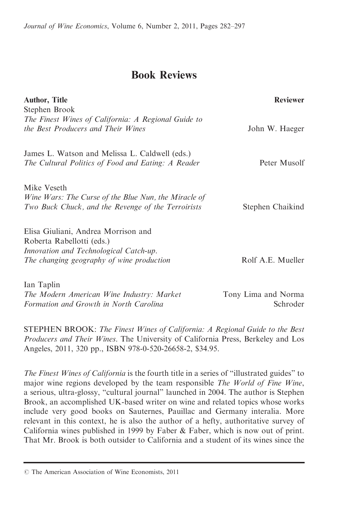## Book Reviews

| Author, Title                                                                                                                                           | <b>Reviewer</b>                 |
|---------------------------------------------------------------------------------------------------------------------------------------------------------|---------------------------------|
| Stephen Brook<br>The Finest Wines of California: A Regional Guide to<br>the Best Producers and Their Wines                                              | John W. Haeger                  |
| James L. Watson and Melissa L. Caldwell (eds.)<br>The Cultural Politics of Food and Eating: A Reader                                                    | Peter Musolf                    |
| Mike Veseth<br>Wine Wars: The Curse of the Blue Nun, the Miracle of<br>Two Buck Chuck, and the Revenge of the Terroirists                               | Stephen Chaikind                |
| Elisa Giuliani, Andrea Morrison and<br>Roberta Rabellotti (eds.)<br>Innovation and Technological Catch-up.<br>The changing geography of wine production | Rolf A.E. Mueller               |
| Ian Taplin<br>The Modern American Wine Industry: Market<br>Formation and Growth in North Carolina                                                       | Tony Lima and Norma<br>Schroder |

STEPHEN BROOK: The Finest Wines of California: A Regional Guide to the Best Producers and Their Wines. The University of California Press, Berkeley and Los Angeles, 2011, 320 pp., ISBN 978-0-520-26658-2, \$34.95.

The Finest Wines of California is the fourth title in a series of "illustrated guides" to major wine regions developed by the team responsible The World of Fine Wine, a serious, ultra-glossy, "cultural journal" launched in 2004. The author is Stephen Brook, an accomplished UK-based writer on wine and related topics whose works include very good books on Sauternes, Pauillac and Germany interalia. More relevant in this context, he is also the author of a hefty, authoritative survey of California wines published in 1999 by Faber & Faber, which is now out of print. That Mr. Brook is both outsider to California and a student of its wines since the

<sup>©</sup> The American Association of Wine Economists, 2011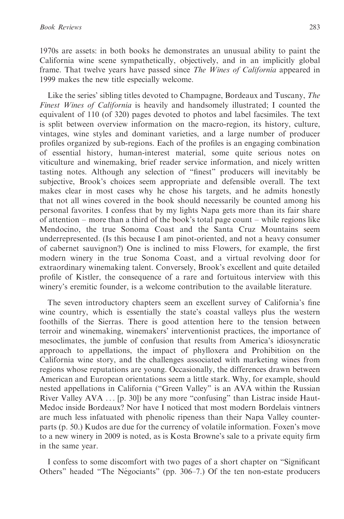1970s are assets: in both books he demonstrates an unusual ability to paint the California wine scene sympathetically, objectively, and in an implicitly global frame. That twelve years have passed since The Wines of California appeared in 1999 makes the new title especially welcome.

Like the series' sibling titles devoted to Champagne, Bordeaux and Tuscany, The Finest Wines of California is heavily and handsomely illustrated; I counted the equivalent of 110 (of 320) pages devoted to photos and label facsimiles. The text is split between overview information on the macro-region, its history, culture, vintages, wine styles and dominant varieties, and a large number of producer profiles organized by sub-regions. Each of the profiles is an engaging combination of essential history, human-interest material, some quite serious notes on viticulture and winemaking, brief reader service information, and nicely written tasting notes. Although any selection of "finest" producers will inevitably be subjective, Brook's choices seem appropriate and defensible overall. The text makes clear in most cases why he chose his targets, and he admits honestly that not all wines covered in the book should necessarily be counted among his personal favorites. I confess that by my lights Napa gets more than its fair share of attention – more than a third of the book's total page count – while regions like Mendocino, the true Sonoma Coast and the Santa Cruz Mountains seem underrepresented. (Is this because I am pinot-oriented, and not a heavy consumer of cabernet sauvignon?) One is inclined to miss Flowers, for example, the first modern winery in the true Sonoma Coast, and a virtual revolving door for extraordinary winemaking talent. Conversely, Brook's excellent and quite detailed profile of Kistler, the consequence of a rare and fortuitous interview with this winery's eremitic founder, is a welcome contribution to the available literature.

The seven introductory chapters seem an excellent survey of California's fine wine country, which is essentially the state's coastal valleys plus the western foothills of the Sierras. There is good attention here to the tension between terroir and winemaking, winemakers' interventionist practices, the importance of mesoclimates, the jumble of confusion that results from America's idiosyncratic approach to appellations, the impact of phylloxera and Prohibition on the California wine story, and the challenges associated with marketing wines from regions whose reputations are young. Occasionally, the differences drawn between American and European orientations seem a little stark. Why, for example, should nested appellations in California ("Green Valley" is an AVA within the Russian River Valley AVA ... [p. 30]) be any more "confusing" than Listrac inside Haut-Medoc inside Bordeaux? Nor have I noticed that most modern Bordelais vintners are much less infatuated with phenolic ripeness than their Napa Valley counterparts (p. 50.) Kudos are due for the currency of volatile information. Foxen's move to a new winery in 2009 is noted, as is Kosta Browne's sale to a private equity firm in the same year.

I confess to some discomfort with two pages of a short chapter on "Significant Others" headed "The Négociants" (pp. 306–7.) Of the ten non-estate producers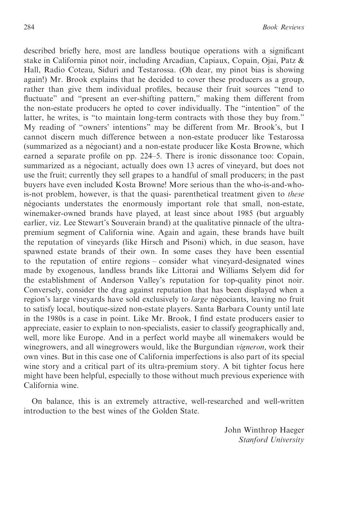described briefly here, most are landless boutique operations with a significant stake in California pinot noir, including Arcadian, Capiaux, Copain, Ojai, Patz & Hall, Radio Coteau, Siduri and Testarossa. (Oh dear, my pinot bias is showing again!) Mr. Brook explains that he decided to cover these producers as a group, rather than give them individual profiles, because their fruit sources "tend to fluctuate" and "present an ever-shifting pattern," making them different from the non-estate producers he opted to cover individually. The "intention" of the latter, he writes, is "to maintain long-term contracts with those they buy from." My reading of "owners' intentions" may be different from Mr. Brook's, but I cannot discern much difference between a non-estate producer like Testarossa (summarized as a négociant) and a non-estate producer like Kosta Browne, which earned a separate profile on pp. 224–5. There is ironic dissonance too: Copain, summarized as a négociant, actually does own 13 acres of vineyard, but does not use the fruit; currently they sell grapes to a handful of small producers; in the past buyers have even included Kosta Browne! More serious than the who-is-and-whois-not problem, however, is that the quasi- parenthetical treatment given to *these* négociants understates the enormously important role that small, non-estate, winemaker-owned brands have played, at least since about 1985 (but arguably earlier, viz. Lee Stewart's Souverain brand) at the qualitative pinnacle of the ultrapremium segment of California wine. Again and again, these brands have built the reputation of vineyards (like Hirsch and Pisoni) which, in due season, have spawned estate brands of their own. In some cases they have been essential to the reputation of entire regions – consider what vineyard-designated wines made by exogenous, landless brands like Littorai and Williams Selyem did for the establishment of Anderson Valley's reputation for top-quality pinot noir. Conversely, consider the drag against reputation that has been displayed when a region's large vineyards have sold exclusively to *large* négociants, leaving no fruit to satisfy local, boutique-sized non-estate players. Santa Barbara County until late in the 1980s is a case in point. Like Mr. Brook, I find estate producers easier to appreciate, easier to explain to non-specialists, easier to classify geographically and, well, more like Europe. And in a perfect world maybe all winemakers would be winegrowers, and all winegrowers would, like the Burgundian vigneron, work their own vines. But in this case one of California imperfections is also part of its special wine story and a critical part of its ultra-premium story. A bit tighter focus here might have been helpful, especially to those without much previous experience with California wine.

On balance, this is an extremely attractive, well-researched and well-written introduction to the best wines of the Golden State.

> John Winthrop Haeger Stanford University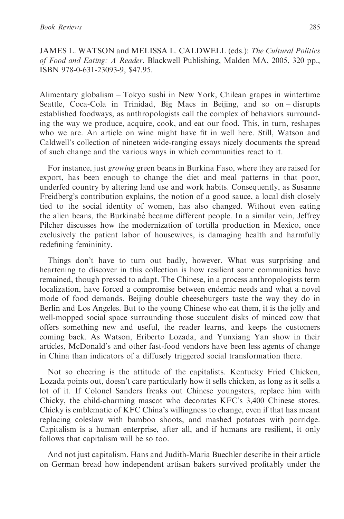JAMES L. WATSON and MELISSA L. CALDWELL (eds.): The Cultural Politics of Food and Eating: A Reader. Blackwell Publishing, Malden MA, 2005, 320 pp., ISBN 978-0-631-23093-9, \$47.95.

Alimentary globalism – Tokyo sushi in New York, Chilean grapes in wintertime Seattle, Coca-Cola in Trinidad, Big Macs in Beijing, and so on – disrupts established foodways, as anthropologists call the complex of behaviors surrounding the way we produce, acquire, cook, and eat our food. This, in turn, reshapes who we are. An article on wine might have fit in well here. Still, Watson and Caldwell's collection of nineteen wide-ranging essays nicely documents the spread of such change and the various ways in which communities react to it.

For instance, just growing green beans in Burkina Faso, where they are raised for export, has been enough to change the diet and meal patterns in that poor, underfed country by altering land use and work habits. Consequently, as Susanne Freidberg's contribution explains, the notion of a good sauce, a local dish closely tied to the social identity of women, has also changed. Without even eating the alien beans, the Burkinabé became different people. In a similar vein, Jeffrey Pilcher discusses how the modernization of tortilla production in Mexico, once exclusively the patient labor of housewives, is damaging health and harmfully redefining femininity.

Things don't have to turn out badly, however. What was surprising and heartening to discover in this collection is how resilient some communities have remained, though pressed to adapt. The Chinese, in a process anthropologists term localization, have forced a compromise between endemic needs and what a novel mode of food demands. Beijing double cheeseburgers taste the way they do in Berlin and Los Angeles. But to the young Chinese who eat them, it is the jolly and well-mopped social space surrounding those succulent disks of minced cow that offers something new and useful, the reader learns, and keeps the customers coming back. As Watson, Eriberto Lozada, and Yunxiang Yan show in their articles, McDonald's and other fast-food vendors have been less agents of change in China than indicators of a diffusely triggered social transformation there.

Not so cheering is the attitude of the capitalists. Kentucky Fried Chicken, Lozada points out, doesn't care particularly how it sells chicken, as long as it sells a lot of it. If Colonel Sanders freaks out Chinese youngsters, replace him with Chicky, the child-charming mascot who decorates KFC's 3,400 Chinese stores. Chicky is emblematic of KFC China's willingness to change, even if that has meant replacing coleslaw with bamboo shoots, and mashed potatoes with porridge. Capitalism is a human enterprise, after all, and if humans are resilient, it only follows that capitalism will be so too.

And not just capitalism. Hans and Judith-Maria Buechler describe in their article on German bread how independent artisan bakers survived profitably under the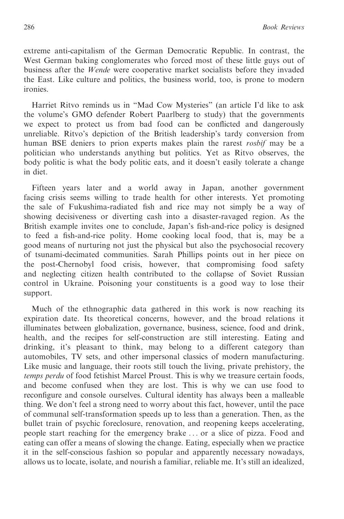extreme anti-capitalism of the German Democratic Republic. In contrast, the West German baking conglomerates who forced most of these little guys out of business after the Wende were cooperative market socialists before they invaded the East. Like culture and politics, the business world, too, is prone to modern ironies.

Harriet Ritvo reminds us in "Mad Cow Mysteries" (an article I'd like to ask the volume's GMO defender Robert Paarlberg to study) that the governments we expect to protect us from bad food can be conflicted and dangerously unreliable. Ritvo's depiction of the British leadership's tardy conversion from human BSE deniers to prion experts makes plain the rarest *rosbif* may be a politician who understands anything but politics. Yet as Ritvo observes, the body politic is what the body politic eats, and it doesn't easily tolerate a change in diet.

Fifteen years later and a world away in Japan, another government facing crisis seems willing to trade health for other interests. Yet promoting the sale of Fukushima-radiated fish and rice may not simply be a way of showing decisiveness or diverting cash into a disaster-ravaged region. As the British example invites one to conclude, Japan's fish-and-rice policy is designed to feed a fish-and-rice polity. Home cooking local food, that is, may be a good means of nurturing not just the physical but also the psychosocial recovery of tsunami-decimated communities. Sarah Phillips points out in her piece on the post-Chernobyl food crisis, however, that compromising food safety and neglecting citizen health contributed to the collapse of Soviet Russian control in Ukraine. Poisoning your constituents is a good way to lose their support.

Much of the ethnographic data gathered in this work is now reaching its expiration date. Its theoretical concerns, however, and the broad relations it illuminates between globalization, governance, business, science, food and drink, health, and the recipes for self-construction are still interesting. Eating and drinking, it's pleasant to think, may belong to a different category than automobiles, TV sets, and other impersonal classics of modern manufacturing. Like music and language, their roots still touch the living, private prehistory, the temps perdu of food fetishist Marcel Proust. This is why we treasure certain foods, and become confused when they are lost. This is why we can use food to reconfigure and console ourselves. Cultural identity has always been a malleable thing. We don't feel a strong need to worry about this fact, however, until the pace of communal self-transformation speeds up to less than a generation. Then, as the bullet train of psychic foreclosure, renovation, and reopening keeps accelerating, people start reaching for the emergency brake ... or a slice of pizza. Food and eating can offer a means of slowing the change. Eating, especially when we practice it in the self-conscious fashion so popular and apparently necessary nowadays, allows us to locate, isolate, and nourish a familiar, reliable me. It's still an idealized,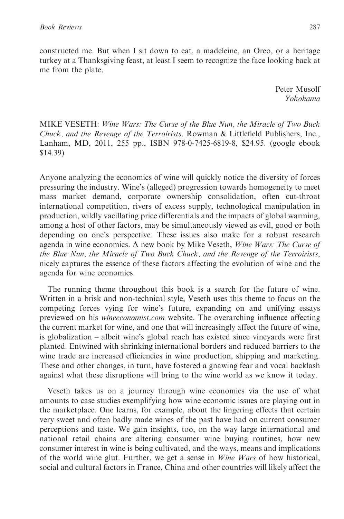constructed me. But when I sit down to eat, a madeleine, an Oreo, or a heritage turkey at a Thanksgiving feast, at least I seem to recognize the face looking back at me from the plate.

> Peter Musolf Yokohama

MIKE VESETH: Wine Wars: The Curse of the Blue Nun, the Miracle of Two Buck Chuck, and the Revenge of the Terroirists. Rowman & Littlefield Publishers, Inc., Lanham, MD, 2011, 255 pp., ISBN 978-0-7425-6819-8, \$24.95. (google ebook \$14.39)

Anyone analyzing the economics of wine will quickly notice the diversity of forces pressuring the industry. Wine's (alleged) progression towards homogeneity to meet mass market demand, corporate ownership consolidation, often cut-throat international competition, rivers of excess supply, technological manipulation in production, wildly vacillating price differentials and the impacts of global warming, among a host of other factors, may be simultaneously viewed as evil, good or both depending on one's perspective. These issues also make for a robust research agenda in wine economics. A new book by Mike Veseth, Wine Wars: The Curse of the Blue Nun, the Miracle of Two Buck Chuck, and the Revenge of the Terroirists, nicely captures the essence of these factors affecting the evolution of wine and the agenda for wine economics.

The running theme throughout this book is a search for the future of wine. Written in a brisk and non-technical style, Veseth uses this theme to focus on the competing forces vying for wine's future, expanding on and unifying essays previewed on his wineeconomist.com website. The overarching influence affecting the current market for wine, and one that will increasingly affect the future of wine, is globalization – albeit wine's global reach has existed since vineyards were first planted. Entwined with shrinking international borders and reduced barriers to the wine trade are increased efficiencies in wine production, shipping and marketing. These and other changes, in turn, have fostered a gnawing fear and vocal backlash against what these disruptions will bring to the wine world as we know it today.

Veseth takes us on a journey through wine economics via the use of what amounts to case studies exemplifying how wine economic issues are playing out in the marketplace. One learns, for example, about the lingering effects that certain very sweet and often badly made wines of the past have had on current consumer perceptions and taste. We gain insights, too, on the way large international and national retail chains are altering consumer wine buying routines, how new consumer interest in wine is being cultivated, and the ways, means and implications of the world wine glut. Further, we get a sense in Wine Wars of how historical, social and cultural factors in France, China and other countries will likely affect the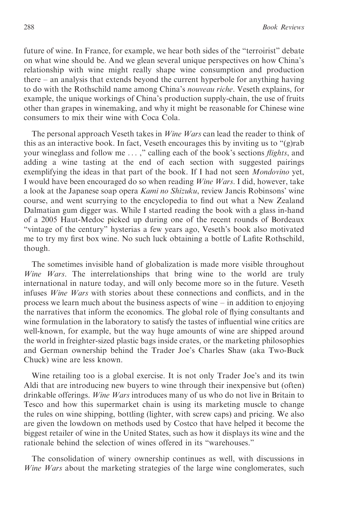future of wine. In France, for example, we hear both sides of the "terroirist" debate on what wine should be. And we glean several unique perspectives on how China's relationship with wine might really shape wine consumption and production there – an analysis that extends beyond the current hyperbole for anything having to do with the Rothschild name among China's nouveau riche. Veseth explains, for example, the unique workings of China's production supply-chain, the use of fruits other than grapes in winemaking, and why it might be reasonable for Chinese wine consumers to mix their wine with Coca Cola.

The personal approach Veseth takes in *Wine Wars* can lead the reader to think of this as an interactive book. In fact, Veseth encourages this by inviting us to "(g)rab your wineglass and follow me ...," calling each of the book's sections *flights*, and adding a wine tasting at the end of each section with suggested pairings exemplifying the ideas in that part of the book. If I had not seen *Mondovino* yet, I would have been encouraged do so when reading Wine Wars. I did, however, take a look at the Japanese soap opera Kami no Shizuku, review Jancis Robinsons' wine course, and went scurrying to the encyclopedia to find out what a New Zealand Dalmatian gum digger was. While I started reading the book with a glass in-hand of a 2005 Haut-Medoc picked up during one of the recent rounds of Bordeaux "vintage of the century" hysterias a few years ago, Veseth's book also motivated me to try my first box wine. No such luck obtaining a bottle of Lafite Rothschild, though.

The sometimes invisible hand of globalization is made more visible throughout Wine Wars. The interrelationships that bring wine to the world are truly international in nature today, and will only become more so in the future. Veseth infuses Wine Wars with stories about these connections and conflicts, and in the process we learn much about the business aspects of wine – in addition to enjoying the narratives that inform the economics. The global role of flying consultants and wine formulation in the laboratory to satisfy the tastes of influential wine critics are well-known, for example, but the way huge amounts of wine are shipped around the world in freighter-sized plastic bags inside crates, or the marketing philosophies and German ownership behind the Trader Joe's Charles Shaw (aka Two-Buck Chuck) wine are less known.

Wine retailing too is a global exercise. It is not only Trader Joe's and its twin Aldi that are introducing new buyers to wine through their inexpensive but (often) drinkable offerings. Wine Wars introduces many of us who do not live in Britain to Tesco and how this supermarket chain is using its marketing muscle to change the rules on wine shipping, bottling (lighter, with screw caps) and pricing. We also are given the lowdown on methods used by Costco that have helped it become the biggest retailer of wine in the United States, such as how it displays its wine and the rationale behind the selection of wines offered in its "warehouses."

The consolidation of winery ownership continues as well, with discussions in Wine Wars about the marketing strategies of the large wine conglomerates, such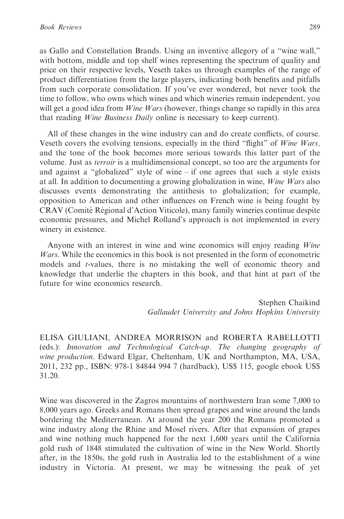as Gallo and Constellation Brands. Using an inventive allegory of a "wine wall," with bottom, middle and top shelf wines representing the spectrum of quality and price on their respective levels, Veseth takes us through examples of the range of product differentiation from the large players, indicating both benefits and pitfalls from such corporate consolidation. If you've ever wondered, but never took the time to follow, who owns which wines and which wineries remain independent, you will get a good idea from *Wine Wars* (however, things change so rapidly in this area that reading Wine Business Daily online is necessary to keep current).

All of these changes in the wine industry can and do create conflicts, of course. Veseth covers the evolving tensions, especially in the third "flight" of Wine Wars, and the tone of the book becomes more serious towards this latter part of the volume. Just as terroir is a multidimensional concept, so too are the arguments for and against a "globalized" style of wine – if one agrees that such a style exists at all. In addition to documenting a growing globalization in wine, Wine Wars also discusses events demonstrating the antithesis to globalization; for example, opposition to American and other influences on French wine is being fought by CRAV (Comité Régional d'Action Viticole), many family wineries continue despite economic pressures, and Michel Rolland's approach is not implemented in every winery in existence.

Anyone with an interest in wine and wine economics will enjoy reading Wine Wars. While the economics in this book is not presented in the form of econometric models and t-values, there is no mistaking the well of economic theory and knowledge that underlie the chapters in this book, and that hint at part of the future for wine economics research.

> Stephen Chaikind Gallaudet University and Johns Hopkins University

ELISA GIULIANI, ANDREA MORRISON and ROBERTA RABELLOTTI (eds.): Innovation and Technological Catch-up. The changing geography of wine production. Edward Elgar, Cheltenham, UK and Northampton, MA, USA, 2011, 232 pp., ISBN: 978-1 84844 994 7 (hardback), US\$ 115, google ebook US\$ 31.20.

Wine was discovered in the Zagros mountains of northwestern Iran some 7,000 to 8,000 years ago. Greeks and Romans then spread grapes and wine around the lands bordering the Mediterranean. At around the year 200 the Romans promoted a wine industry along the Rhine and Mosel rivers. After that expansion of grapes and wine nothing much happened for the next 1,600 years until the California gold rush of 1848 stimulated the cultivation of wine in the New World. Shortly after, in the 1850s, the gold rush in Australia led to the establishment of a wine industry in Victoria. At present, we may be witnessing the peak of yet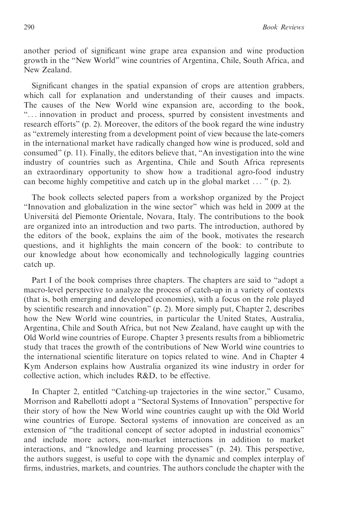another period of significant wine grape area expansion and wine production growth in the "New World" wine countries of Argentina, Chile, South Africa, and New Zealand.

Significant changes in the spatial expansion of crops are attention grabbers, which call for explanation and understanding of their causes and impacts. The causes of the New World wine expansion are, according to the book, "... innovation in product and process, spurred by consistent investments and research efforts" (p. 2). Moreover, the editors of the book regard the wine industry as "extremely interesting from a development point of view because the late-comers in the international market have radically changed how wine is produced, sold and consumed" (p. 11). Finally, the editors believe that, "An investigation into the wine industry of countries such as Argentina, Chile and South Africa represents an extraordinary opportunity to show how a traditional agro-food industry can become highly competitive and catch up in the global market ... " (p. 2).

The book collects selected papers from a workshop organized by the Project "Innovation and globalization in the wine sector" which was held in 2009 at the Universita` del Piemonte Orientale, Novara, Italy. The contributions to the book are organized into an introduction and two parts. The introduction, authored by the editors of the book, explains the aim of the book, motivates the research questions, and it highlights the main concern of the book: to contribute to our knowledge about how economically and technologically lagging countries catch up.

Part I of the book comprises three chapters. The chapters are said to "adopt a macro-level perspective to analyze the process of catch-up in a variety of contexts (that is, both emerging and developed economies), with a focus on the role played by scientific research and innovation" (p. 2). More simply put, Chapter 2, describes how the New World wine countries, in particular the United States, Australia, Argentina, Chile and South Africa, but not New Zealand, have caught up with the Old World wine countries of Europe. Chapter 3 presents results from a bibliometric study that traces the growth of the contributions of New World wine countries to the international scientific literature on topics related to wine. And in Chapter 4 Kym Anderson explains how Australia organized its wine industry in order for collective action, which includes R&D, to be effective.

In Chapter 2, entitled "Catching-up trajectories in the wine sector," Cusamo, Morrison and Rabellotti adopt a "Sectoral Systems of Innovation" perspective for their story of how the New World wine countries caught up with the Old World wine countries of Europe. Sectoral systems of innovation are conceived as an extension of "the traditional concept of sector adopted in industrial economics" and include more actors, non-market interactions in addition to market interactions, and "knowledge and learning processes" (p. 24). This perspective, the authors suggest, is useful to cope with the dynamic and complex interplay of firms, industries, markets, and countries. The authors conclude the chapter with the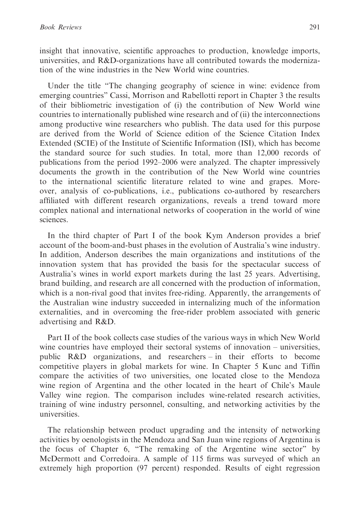insight that innovative, scientific approaches to production, knowledge imports, universities, and R&D-organizations have all contributed towards the modernization of the wine industries in the New World wine countries.

Under the title "The changing geography of science in wine: evidence from emerging countries" Cassi, Morrison and Rabellotti report in Chapter 3 the results of their bibliometric investigation of (i) the contribution of New World wine countries to internationally published wine research and of (ii) the interconnections among productive wine researchers who publish. The data used for this purpose are derived from the World of Science edition of the Science Citation Index Extended (SCIE) of the Institute of Scientific Information (ISI), which has become the standard source for such studies. In total, more than 12,000 records of publications from the period 1992–2006 were analyzed. The chapter impressively documents the growth in the contribution of the New World wine countries to the international scientific literature related to wine and grapes. Moreover, analysis of co-publications, i.e., publications co-authored by researchers affiliated with different research organizations, reveals a trend toward more complex national and international networks of cooperation in the world of wine sciences.

In the third chapter of Part I of the book Kym Anderson provides a brief account of the boom-and-bust phases in the evolution of Australia's wine industry. In addition, Anderson describes the main organizations and institutions of the innovation system that has provided the basis for the spectacular success of Australia's wines in world export markets during the last 25 years. Advertising, brand building, and research are all concerned with the production of information, which is a non-rival good that invites free-riding. Apparently, the arrangements of the Australian wine industry succeeded in internalizing much of the information externalities, and in overcoming the free-rider problem associated with generic advertising and R&D.

Part II of the book collects case studies of the various ways in which New World wine countries have employed their sectoral systems of innovation – universities, public R&D organizations, and researchers – in their efforts to become competitive players in global markets for wine. In Chapter 5 Kunc and Tiffin compare the activities of two universities, one located close to the Mendoza wine region of Argentina and the other located in the heart of Chile's Maule Valley wine region. The comparison includes wine-related research activities, training of wine industry personnel, consulting, and networking activities by the universities.

The relationship between product upgrading and the intensity of networking activities by oenologists in the Mendoza and San Juan wine regions of Argentina is the focus of Chapter 6, "The remaking of the Argentine wine sector" by McDermott and Corredoira. A sample of 115 firms was surveyed of which an extremely high proportion (97 percent) responded. Results of eight regression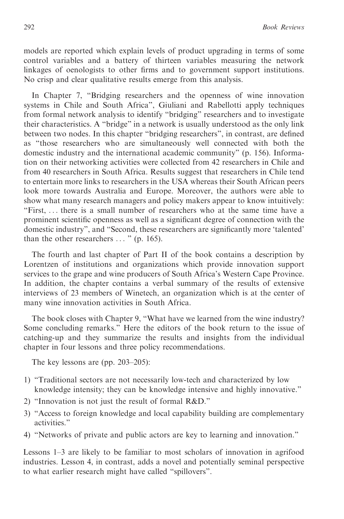models are reported which explain levels of product upgrading in terms of some control variables and a battery of thirteen variables measuring the network linkages of oenologists to other firms and to government support institutions. No crisp and clear qualitative results emerge from this analysis.

In Chapter 7, "Bridging researchers and the openness of wine innovation systems in Chile and South Africa", Giuliani and Rabellotti apply techniques from formal network analysis to identify "bridging" researchers and to investigate their characteristics. A "bridge" in a network is usually understood as the only link between two nodes. In this chapter "bridging researchers", in contrast, are defined as "those researchers who are simultaneously well connected with both the domestic industry and the international academic community" (p. 156). Information on their networking activities were collected from 42 researchers in Chile and from 40 researchers in South Africa. Results suggest that researchers in Chile tend to entertain more links to researchers in the USA whereas their South African peers look more towards Australia and Europe. Moreover, the authors were able to show what many research managers and policy makers appear to know intuitively: "First, ... there is a small number of researchers who at the same time have a prominent scientific openness as well as a significant degree of connection with the domestic industry", and "Second, these researchers are significantly more 'talented' than the other researchers ... " (p. 165).

The fourth and last chapter of Part II of the book contains a description by Lorentzen of institutions and organizations which provide innovation support services to the grape and wine producers of South Africa's Western Cape Province. In addition, the chapter contains a verbal summary of the results of extensive interviews of 23 members of Winetech, an organization which is at the center of many wine innovation activities in South Africa.

The book closes with Chapter 9, "What have we learned from the wine industry? Some concluding remarks." Here the editors of the book return to the issue of catching-up and they summarize the results and insights from the individual chapter in four lessons and three policy recommendations.

The key lessons are (pp. 203–205):

- 1) "Traditional sectors are not necessarily low-tech and characterized by low knowledge intensity; they can be knowledge intensive and highly innovative."
- 2) "Innovation is not just the result of formal R&D."
- 3) "Access to foreign knowledge and local capability building are complementary activities."
- 4) "Networks of private and public actors are key to learning and innovation."

Lessons 1–3 are likely to be familiar to most scholars of innovation in agrifood industries. Lesson 4, in contrast, adds a novel and potentially seminal perspective to what earlier research might have called "spillovers".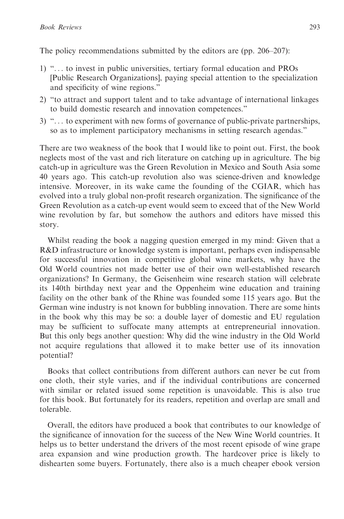The policy recommendations submitted by the editors are (pp. 206–207):

- 1) "... to invest in public universities, tertiary formal education and PROs [Public Research Organizations], paying special attention to the specialization and specificity of wine regions."
- 2) "to attract and support talent and to take advantage of international linkages to build domestic research and innovation competences."
- 3) "... to experiment with new forms of governance of public-private partnerships, so as to implement participatory mechanisms in setting research agendas."

There are two weakness of the book that I would like to point out. First, the book neglects most of the vast and rich literature on catching up in agriculture. The big catch-up in agriculture was the Green Revolution in Mexico and South Asia some 40 years ago. This catch-up revolution also was science-driven and knowledge intensive. Moreover, in its wake came the founding of the CGIAR, which has evolved into a truly global non-profit research organization. The significance of the Green Revolution as a catch-up event would seem to exceed that of the New World wine revolution by far, but somehow the authors and editors have missed this story.

Whilst reading the book a nagging question emerged in my mind: Given that a R&D infrastructure or knowledge system is important, perhaps even indispensable for successful innovation in competitive global wine markets, why have the Old World countries not made better use of their own well-established research organizations? In Germany, the Geisenheim wine research station will celebrate its 140th birthday next year and the Oppenheim wine education and training facility on the other bank of the Rhine was founded some 115 years ago. But the German wine industry is not known for bubbling innovation. There are some hints in the book why this may be so: a double layer of domestic and EU regulation may be sufficient to suffocate many attempts at entrepreneurial innovation. But this only begs another question: Why did the wine industry in the Old World not acquire regulations that allowed it to make better use of its innovation potential?

Books that collect contributions from different authors can never be cut from one cloth, their style varies, and if the individual contributions are concerned with similar or related issued some repetition is unavoidable. This is also true for this book. But fortunately for its readers, repetition and overlap are small and tolerable.

Overall, the editors have produced a book that contributes to our knowledge of the significance of innovation for the success of the New Wine World countries. It helps us to better understand the drivers of the most recent episode of wine grape area expansion and wine production growth. The hardcover price is likely to dishearten some buyers. Fortunately, there also is a much cheaper ebook version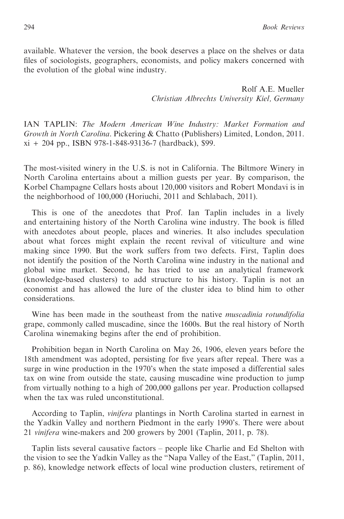available. Whatever the version, the book deserves a place on the shelves or data files of sociologists, geographers, economists, and policy makers concerned with the evolution of the global wine industry.

> Rolf A.E. Mueller Christian Albrechts University Kiel, Germany

IAN TAPLIN: The Modern American Wine Industry: Market Formation and Growth in North Carolina. Pickering & Chatto (Publishers) Limited, London, 2011.  $xi + 204$  pp., ISBN 978-1-848-93136-7 (hardback), \$99.

The most-visited winery in the U.S. is not in California. The Biltmore Winery in North Carolina entertains about a million guests per year. By comparison, the Korbel Champagne Cellars hosts about 120,000 visitors and Robert Mondavi is in the neighborhood of 100,000 (Horiuchi, 2011 and Schlabach, 2011).

This is one of the anecdotes that Prof. Ian Taplin includes in a lively and entertaining history of the North Carolina wine industry. The book is filled with anecdotes about people, places and wineries. It also includes speculation about what forces might explain the recent revival of viticulture and wine making since 1990. But the work suffers from two defects. First, Taplin does not identify the position of the North Carolina wine industry in the national and global wine market. Second, he has tried to use an analytical framework (knowledge-based clusters) to add structure to his history. Taplin is not an economist and has allowed the lure of the cluster idea to blind him to other considerations.

Wine has been made in the southeast from the native *muscadinia rotundifolia* grape, commonly called muscadine, since the 1600s. But the real history of North Carolina winemaking begins after the end of prohibition.

Prohibition began in North Carolina on May 26, 1906, eleven years before the 18th amendment was adopted, persisting for five years after repeal. There was a surge in wine production in the 1970's when the state imposed a differential sales tax on wine from outside the state, causing muscadine wine production to jump from virtually nothing to a high of 200,000 gallons per year. Production collapsed when the tax was ruled unconstitutional.

According to Taplin, vinifera plantings in North Carolina started in earnest in the Yadkin Valley and northern Piedmont in the early 1990's. There were about 21 vinifera wine-makers and 200 growers by 2001 (Taplin, 2011, p. 78).

Taplin lists several causative factors – people like Charlie and Ed Shelton with the vision to see the Yadkin Valley as the "Napa Valley of the East," (Taplin, 2011, p. 86), knowledge network effects of local wine production clusters, retirement of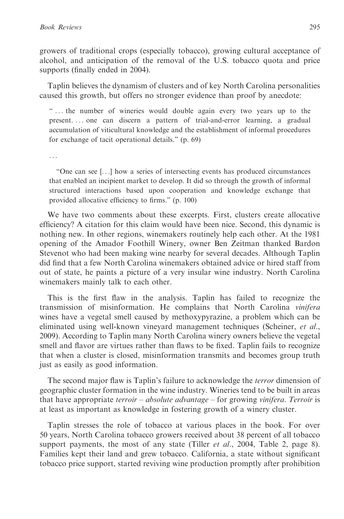growers of traditional crops (especially tobacco), growing cultural acceptance of alcohol, and anticipation of the removal of the U.S. tobacco quota and price supports (finally ended in 2004).

Taplin believes the dynamism of clusters and of key North Carolina personalities caused this growth, but offers no stronger evidence than proof by anecdote:

" ... the number of wineries would double again every two years up to the present. ... one can discern a pattern of trial-and-error learning, a gradual accumulation of viticultural knowledge and the establishment of informal procedures for exchange of tacit operational details." (p. 69)

"One can see [...] how a series of intersecting events has produced circumstances that enabled an incipient market to develop. It did so through the growth of informal structured interactions based upon cooperation and knowledge exchange that provided allocative efficiency to firms." (p. 100)

We have two comments about these excerpts. First, clusters create allocative efficiency? A citation for this claim would have been nice. Second, this dynamic is nothing new. In other regions, winemakers routinely help each other. At the 1981 opening of the Amador Foothill Winery, owner Ben Zeitman thanked Bardon Stevenot who had been making wine nearby for several decades. Although Taplin did find that a few North Carolina winemakers obtained advice or hired staff from out of state, he paints a picture of a very insular wine industry. North Carolina winemakers mainly talk to each other.

This is the first flaw in the analysis. Taplin has failed to recognize the transmission of misinformation. He complains that North Carolina vinifera wines have a vegetal smell caused by methoxypyrazine, a problem which can be eliminated using well-known vineyard management techniques (Scheiner, et al., 2009). According to Taplin many North Carolina winery owners believe the vegetal smell and flavor are virtues rather than flaws to be fixed. Taplin fails to recognize that when a cluster is closed, misinformation transmits and becomes group truth just as easily as good information.

The second major flaw is Taplin's failure to acknowledge the terror dimension of geographic cluster formation in the wine industry. Wineries tend to be built in areas that have appropriate *terroir – absolute advantage* – for growing *vinifera. Terroir* is at least as important as knowledge in fostering growth of a winery cluster.

Taplin stresses the role of tobacco at various places in the book. For over 50 years, North Carolina tobacco growers received about 38 percent of all tobacco support payments, the most of any state (Tiller *et al.*, 2004, Table 2, page 8). Families kept their land and grew tobacco. California, a state without significant tobacco price support, started reviving wine production promptly after prohibition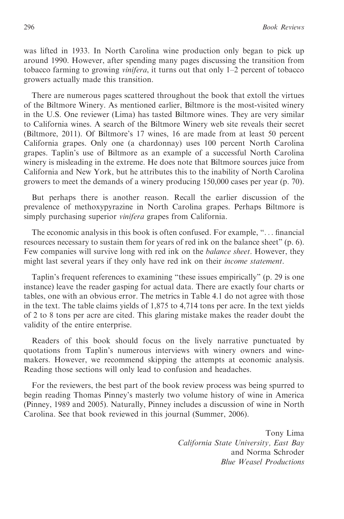was lifted in 1933. In North Carolina wine production only began to pick up around 1990. However, after spending many pages discussing the transition from tobacco farming to growing *vinifera*, it turns out that only  $1-2$  percent of tobacco growers actually made this transition.

There are numerous pages scattered throughout the book that extoll the virtues of the Biltmore Winery. As mentioned earlier, Biltmore is the most-visited winery in the U.S. One reviewer (Lima) has tasted Biltmore wines. They are very similar to California wines. A search of the Biltmore Winery web site reveals their secret (Biltmore, 2011). Of Biltmore's 17 wines, 16 are made from at least 50 percent California grapes. Only one (a chardonnay) uses 100 percent North Carolina grapes. Taplin's use of Biltmore as an example of a successful North Carolina winery is misleading in the extreme. He does note that Biltmore sources juice from California and New York, but he attributes this to the inability of North Carolina growers to meet the demands of a winery producing 150,000 cases per year (p. 70).

But perhaps there is another reason. Recall the earlier discussion of the prevalence of methoxypyrazine in North Carolina grapes. Perhaps Biltmore is simply purchasing superior *vinifera* grapes from California.

The economic analysis in this book is often confused. For example, "... financial resources necessary to sustain them for years of red ink on the balance sheet" (p. 6). Few companies will survive long with red ink on the balance sheet. However, they might last several years if they only have red ink on their income statement.

Taplin's frequent references to examining "these issues empirically" (p. 29 is one instance) leave the reader gasping for actual data. There are exactly four charts or tables, one with an obvious error. The metrics in Table 4.1 do not agree with those in the text. The table claims yields of 1,875 to 4,714 tons per acre. In the text yields of 2 to 8 tons per acre are cited. This glaring mistake makes the reader doubt the validity of the entire enterprise.

Readers of this book should focus on the lively narrative punctuated by quotations from Taplin's numerous interviews with winery owners and winemakers. However, we recommend skipping the attempts at economic analysis. Reading those sections will only lead to confusion and headaches.

For the reviewers, the best part of the book review process was being spurred to begin reading Thomas Pinney's masterly two volume history of wine in America (Pinney, 1989 and 2005). Naturally, Pinney includes a discussion of wine in North Carolina. See that book reviewed in this journal (Summer, 2006).

> Tony Lima California State University, East Bay and Norma Schroder Blue Weasel Productions